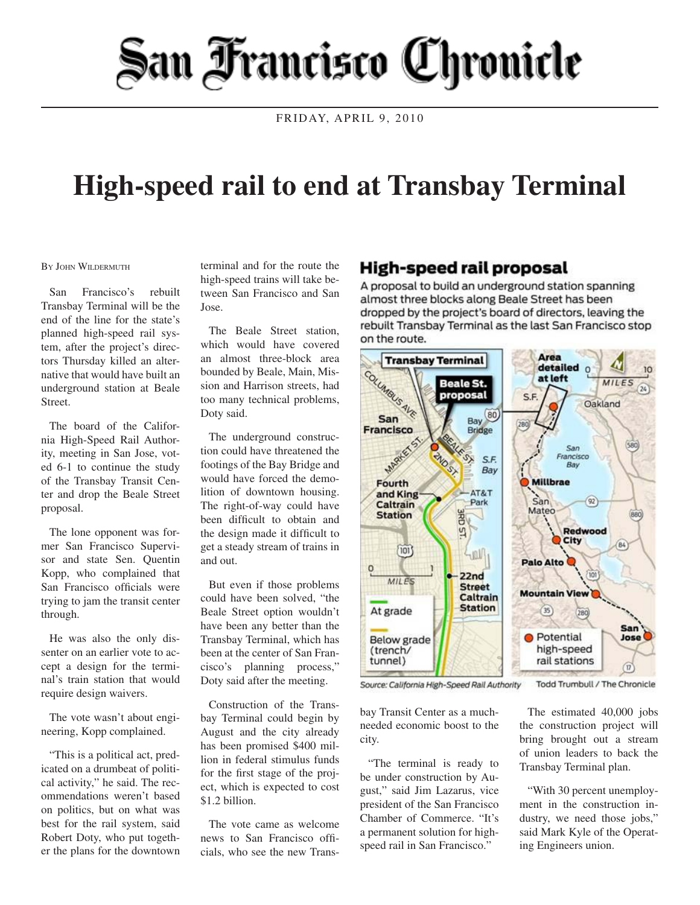## San Francisco Chronicle

FRIDAY, APRIL 9, 2010

## **High-speed rail to end at Transbay Terminal**

## BY JOHN WILDERMUTH

San Francisco's rebuilt Transbay Terminal will be the end of the line for the state's planned high-speed rail system, after the project's directors Thursday killed an alternative that would have built an underground station at Beale Street.

The board of the California High-Speed Rail Authority, meeting in San Jose, voted 6-1 to continue the study of the Transbay Transit Center and drop the Beale Street proposal.

The lone opponent was former San Francisco Supervisor and state Sen. Quentin Kopp, who complained that San Francisco officials were trying to jam the transit center through.

He was also the only dissenter on an earlier vote to accept a design for the terminal's train station that would require design waivers.

The vote wasn't about engineering, Kopp complained.

"This is a political act, predicated on a drumbeat of political activity," he said. The recommendations weren't based on politics, but on what was best for the rail system, said Robert Doty, who put together the plans for the downtown

terminal and for the route the high-speed trains will take between San Francisco and San Jose.

The Beale Street station, which would have covered an almost three-block area bounded by Beale, Main, Mission and Harrison streets, had too many technical problems, Doty said.

The underground construction could have threatened the footings of the Bay Bridge and would have forced the demolition of downtown housing. The right-of-way could have been difficult to obtain and the design made it difficult to get a steady stream of trains in and out.

But even if those problems could have been solved, "the Beale Street option wouldn't have been any better than the Transbay Terminal, which has been at the center of San Francisco's planning process," Doty said after the meeting.

Construction of the Transbay Terminal could begin by August and the city already has been promised \$400 million in federal stimulus funds for the first stage of the project, which is expected to cost \$1.2 billion.

The vote came as welcome news to San Francisco officials, who see the new Trans-

## High-speed rail proposal

A proposal to build an underground station spanning almost three blocks along Beale Street has been dropped by the project's board of directors, leaving the rebuilt Transbay Terminal as the last San Francisco stop on the route.



Source: California High-Speed Rail Authority

bay Transit Center as a muchneeded economic boost to the city.

"The terminal is ready to be under construction by August," said Jim Lazarus, vice president of the San Francisco Chamber of Commerce. "It's a permanent solution for highspeed rail in San Francisco."

Todd Trumbull / The Chronicle

The estimated 40,000 jobs the construction project will bring brought out a stream of union leaders to back the Transbay Terminal plan.

"With 30 percent unemployment in the construction industry, we need those jobs," said Mark Kyle of the Operating Engineers union.